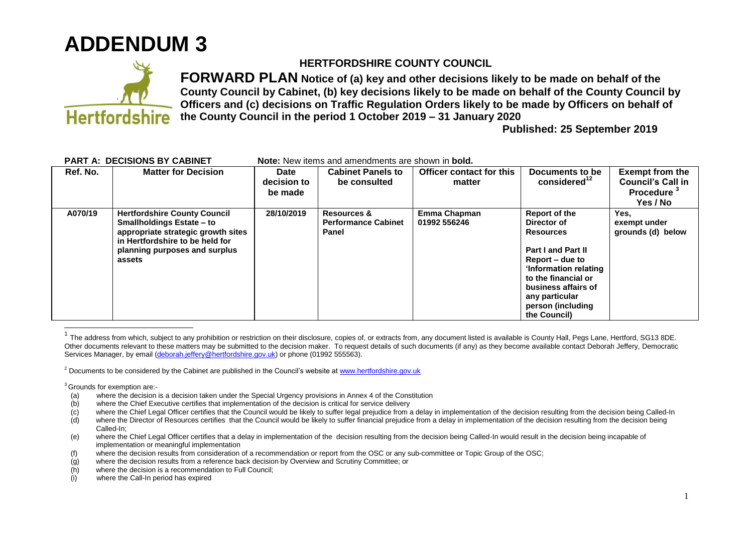

## **Hertfordshire**

## **HERTFORDSHIRE COUNTY COUNCIL**

**FORWARD PLAN Notice of (a) key and other decisions likely to be made on behalf of the County Council by Cabinet, (b) key decisions likely to be made on behalf of the County Council by Officers and (c) decisions on Traffic Regulation Orders likely to be made by Officers on behalf of the County Council in the period 1 October 2019 – 31 January 2020**

**Published: 25 September 2019**

| I AN LA. DEGIOIONO DI GADINEI |          |                                                                                                                                                                                             | <u>NULC. NGW ILGINS ANU ANIGNUMENTS AIC SHUWIT IN <b>DUIU.</b></u> |                                                               |                                    |                                                                                                                                                                                                                                |                                                                                   |
|-------------------------------|----------|---------------------------------------------------------------------------------------------------------------------------------------------------------------------------------------------|--------------------------------------------------------------------|---------------------------------------------------------------|------------------------------------|--------------------------------------------------------------------------------------------------------------------------------------------------------------------------------------------------------------------------------|-----------------------------------------------------------------------------------|
|                               | Ref. No. | <b>Matter for Decision</b>                                                                                                                                                                  | Date<br>decision to<br>be made                                     | <b>Cabinet Panels to</b><br>be consulted                      | Officer contact for this<br>matter | Documents to be<br>considered $12$                                                                                                                                                                                             | <b>Exempt from the</b><br>Council's Call in<br>Procedure <sup>3</sup><br>Yes / No |
|                               | A070/19  | <b>Hertfordshire County Council</b><br><b>Smallholdings Estate – to</b><br>appropriate strategic growth sites<br>in Hertfordshire to be held for<br>planning purposes and surplus<br>assets | 28/10/2019                                                         | <b>Resources &amp;</b><br><b>Performance Cabinet</b><br>Panel | Emma Chapman<br>01992 556246       | Report of the<br>Director of<br><b>Resources</b><br><b>Part I and Part II</b><br>Report – due to<br>'Information relating<br>to the financial or<br>business affairs of<br>any particular<br>person (including<br>the Council) | Yes.<br>exempt under<br>grounds (d) below                                         |

## **PART A: DECISIONS BY CABINET Mote:** New items and amendments are shown in **bold**

 $3$ Grounds for exemption are:-<br>(a) where the decision

 $\overline{\phantom{a}}$ 

- where the decision is a decision taken under the Special Urgency provisions in Annex 4 of the Constitution
- (b) where the Chief Executive certifies that implementation of the decision is critical for service delivery
- (c) where the Chief Legal Officer certifies that the Council would be likely to suffer legal prejudice from a delay in implementation of the decision resulting from the decision being Called-In
- (d) where the Director of Resources certifies that the Council would be likely to suffer financial prejudice from a delay in implementation of the decision resulting from the decision being Called-In;
- (e) where the Chief Legal Officer certifies that a delay in implementation of the decision resulting from the decision being Called-In would result in the decision being incapable of implementation or meaningful implementation
- (f) where the decision results from consideration of a recommendation or report from the OSC or any sub-committee or Topic Group of the OSC;
- (g) where the decision results from a reference back decision by Overview and Scrutiny Committee; or
- (h) where the decision is a recommendation to Full Council;
- (i) where the Call-In period has expired

<sup>1</sup> The address from which, subject to any prohibition or restriction on their disclosure, copies of, or extracts from, any document listed is available is County Hall, Pegs Lane, Hertford, SG13 8DE. Other documents relevant to these matters may be submitted to the decision maker. To request details of such documents (if any) as they become available contact Deborah Jeffery, Democratic Services Manager, by email [\(deborah.jeffery@hertfordshire.gov.uk\)](mailto:deborah.jeffery@hertfordshire.gov.uk) or phone (01992 555563).

<sup>&</sup>lt;sup>2</sup> Documents to be considered by the Cabinet are published in the Council's website at [www.hertfordshire.gov.uk](http://www.hertfordshire.gov.uk/)